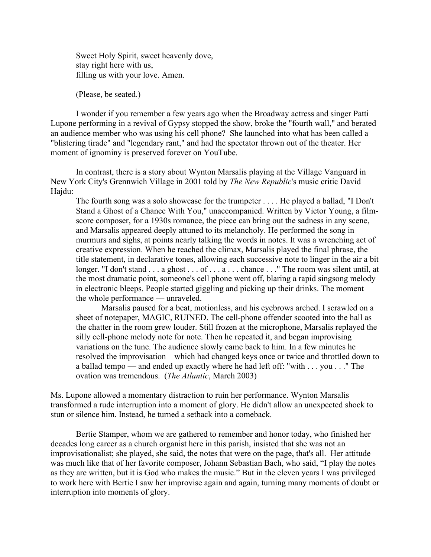Sweet Holy Spirit, sweet heavenly dove, stay right here with us, filling us with your love. Amen.

(Please, be seated.)

I wonder if you remember a few years ago when the Broadway actress and singer Patti Lupone performing in a revival of Gypsy stopped the show, broke the "fourth wall," and berated an audience member who was using his cell phone? She launched into what has been called a "blistering tirade" and "legendary rant," and had the spectator thrown out of the theater. Her moment of ignominy is preserved forever on YouTube.

In contrast, there is a story about Wynton Marsalis playing at the Village Vanguard in New York City's Grennwich Village in 2001 told by *The New Republic*'s music critic David Hajdu:

The fourth song was a solo showcase for the trumpeter . . . . He played a ballad, "I Don't Stand a Ghost of a Chance With You," unaccompanied. Written by Victor Young, a filmscore composer, for a 1930s romance, the piece can bring out the sadness in any scene, and Marsalis appeared deeply attuned to its melancholy. He performed the song in murmurs and sighs, at points nearly talking the words in notes. It was a wrenching act of creative expression. When he reached the climax, Marsalis played the final phrase, the title statement, in declarative tones, allowing each successive note to linger in the air a bit longer. "I don't stand . . . a ghost . . . of . . . a . . . chance . . ." The room was silent until, at the most dramatic point, someone's cell phone went off, blaring a rapid singsong melody in electronic bleeps. People started giggling and picking up their drinks. The moment the whole performance — unraveled.

Marsalis paused for a beat, motionless, and his eyebrows arched. I scrawled on a sheet of notepaper, MAGIC, RUINED. The cell-phone offender scooted into the hall as the chatter in the room grew louder. Still frozen at the microphone, Marsalis replayed the silly cell-phone melody note for note. Then he repeated it, and began improvising variations on the tune. The audience slowly came back to him. In a few minutes he resolved the improvisation—which had changed keys once or twice and throttled down to a ballad tempo — and ended up exactly where he had left off: "with . . . you . . ." The ovation was tremendous. (*The Atlantic*, March 2003)

Ms. Lupone allowed a momentary distraction to ruin her performance. Wynton Marsalis transformed a rude interruption into a moment of glory. He didn't allow an unexpected shock to stun or silence him. Instead, he turned a setback into a comeback.

Bertie Stamper, whom we are gathered to remember and honor today, who finished her decades long career as a church organist here in this parish, insisted that she was not an improvisationalist; she played, she said, the notes that were on the page, that's all. Her attitude was much like that of her favorite composer, Johann Sebastian Bach, who said, "I play the notes as they are written, but it is God who makes the music." But in the eleven years I was privileged to work here with Bertie I saw her improvise again and again, turning many moments of doubt or interruption into moments of glory.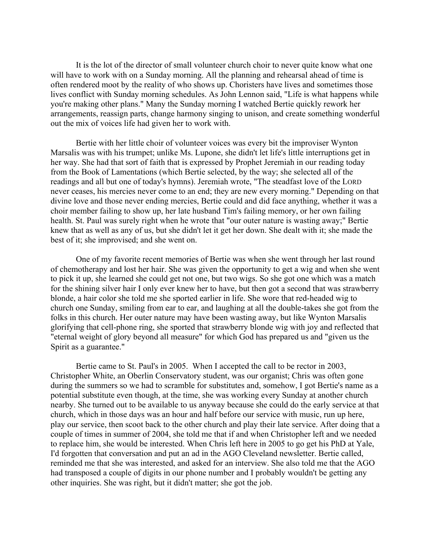It is the lot of the director of small volunteer church choir to never quite know what one will have to work with on a Sunday morning. All the planning and rehearsal ahead of time is often rendered moot by the reality of who shows up. Choristers have lives and sometimes those lives conflict with Sunday morning schedules. As John Lennon said, "Life is what happens while you're making other plans." Many the Sunday morning I watched Bertie quickly rework her arrangements, reassign parts, change harmony singing to unison, and create something wonderful out the mix of voices life had given her to work with.

Bertie with her little choir of volunteer voices was every bit the improviser Wynton Marsalis was with his trumpet; unlike Ms. Lupone, she didn't let life's little interruptions get in her way. She had that sort of faith that is expressed by Prophet Jeremiah in our reading today from the Book of Lamentations (which Bertie selected, by the way; she selected all of the readings and all but one of today's hymns). Jeremiah wrote, "The steadfast love of the LORD never ceases, his mercies never come to an end; they are new every morning." Depending on that divine love and those never ending mercies, Bertie could and did face anything, whether it was a choir member failing to show up, her late husband Tim's failing memory, or her own failing health. St. Paul was surely right when he wrote that "our outer nature is wasting away;" Bertie knew that as well as any of us, but she didn't let it get her down. She dealt with it; she made the best of it; she improvised; and she went on.

One of my favorite recent memories of Bertie was when she went through her last round of chemotherapy and lost her hair. She was given the opportunity to get a wig and when she went to pick it up, she learned she could get not one, but two wigs. So she got one which was a match for the shining silver hair I only ever knew her to have, but then got a second that was strawberry blonde, a hair color she told me she sported earlier in life. She wore that red-headed wig to church one Sunday, smiling from ear to ear, and laughing at all the double-takes she got from the folks in this church. Her outer nature may have been wasting away, but like Wynton Marsalis glorifying that cell-phone ring, she sported that strawberry blonde wig with joy and reflected that "eternal weight of glory beyond all measure" for which God has prepared us and "given us the Spirit as a guarantee."

Bertie came to St. Paul's in 2005. When I accepted the call to be rector in 2003, Christopher White, an Oberlin Conservatory student, was our organist; Chris was often gone during the summers so we had to scramble for substitutes and, somehow, I got Bertie's name as a potential substitute even though, at the time, she was working every Sunday at another church nearby. She turned out to be available to us anyway because she could do the early service at that church, which in those days was an hour and half before our service with music, run up here, play our service, then scoot back to the other church and play their late service. After doing that a couple of times in summer of 2004, she told me that if and when Christopher left and we needed to replace him, she would be interested. When Chris left here in 2005 to go get his PhD at Yale, I'd forgotten that conversation and put an ad in the AGO Cleveland newsletter. Bertie called, reminded me that she was interested, and asked for an interview. She also told me that the AGO had transposed a couple of digits in our phone number and I probably wouldn't be getting any other inquiries. She was right, but it didn't matter; she got the job.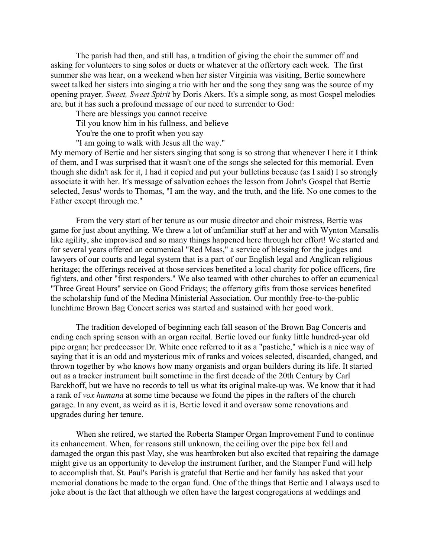The parish had then, and still has, a tradition of giving the choir the summer off and asking for volunteers to sing solos or duets or whatever at the offertory each week. The first summer she was hear, on a weekend when her sister Virginia was visiting, Bertie somewhere sweet talked her sisters into singing a trio with her and the song they sang was the source of my opening prayer*, Sweet, Sweet Spirit* by Doris Akers. It's a simple song, as most Gospel melodies are, but it has such a profound message of our need to surrender to God:

There are blessings you cannot receive

Til you know him in his fullness, and believe

You're the one to profit when you say

"I am going to walk with Jesus all the way."

My memory of Bertie and her sisters singing that song is so strong that whenever I here it I think of them, and I was surprised that it wasn't one of the songs she selected for this memorial. Even though she didn't ask for it, I had it copied and put your bulletins because (as I said) I so strongly associate it with her. It's message of salvation echoes the lesson from John's Gospel that Bertie selected, Jesus' words to Thomas, "I am the way, and the truth, and the life. No one comes to the Father except through me."

From the very start of her tenure as our music director and choir mistress, Bertie was game for just about anything. We threw a lot of unfamiliar stuff at her and with Wynton Marsalis like agility, she improvised and so many things happened here through her effort! We started and for several years offered an ecumenical "Red Mass," a service of blessing for the judges and lawyers of our courts and legal system that is a part of our English legal and Anglican religious heritage; the offerings received at those services benefited a local charity for police officers, fire fighters, and other "first responders." We also teamed with other churches to offer an ecumenical "Three Great Hours" service on Good Fridays; the offertory gifts from those services benefited the scholarship fund of the Medina Ministerial Association. Our monthly free-to-the-public lunchtime Brown Bag Concert series was started and sustained with her good work.

The tradition developed of beginning each fall season of the Brown Bag Concerts and ending each spring season with an organ recital. Bertie loved our funky little hundred-year old pipe organ; her predecessor Dr. White once referred to it as a "pastiche," which is a nice way of saying that it is an odd and mysterious mix of ranks and voices selected, discarded, changed, and thrown together by who knows how many organists and organ builders during its life. It started out as a tracker instrument built sometime in the first decade of the 20th Century by Carl Barckhoff, but we have no records to tell us what its original make-up was. We know that it had a rank of *vox humana* at some time because we found the pipes in the rafters of the church garage. In any event, as weird as it is, Bertie loved it and oversaw some renovations and upgrades during her tenure.

When she retired, we started the Roberta Stamper Organ Improvement Fund to continue its enhancement. When, for reasons still unknown, the ceiling over the pipe box fell and damaged the organ this past May, she was heartbroken but also excited that repairing the damage might give us an opportunity to develop the instrument further, and the Stamper Fund will help to accomplish that. St. Paul's Parish is grateful that Bertie and her family has asked that your memorial donations be made to the organ fund. One of the things that Bertie and I always used to joke about is the fact that although we often have the largest congregations at weddings and